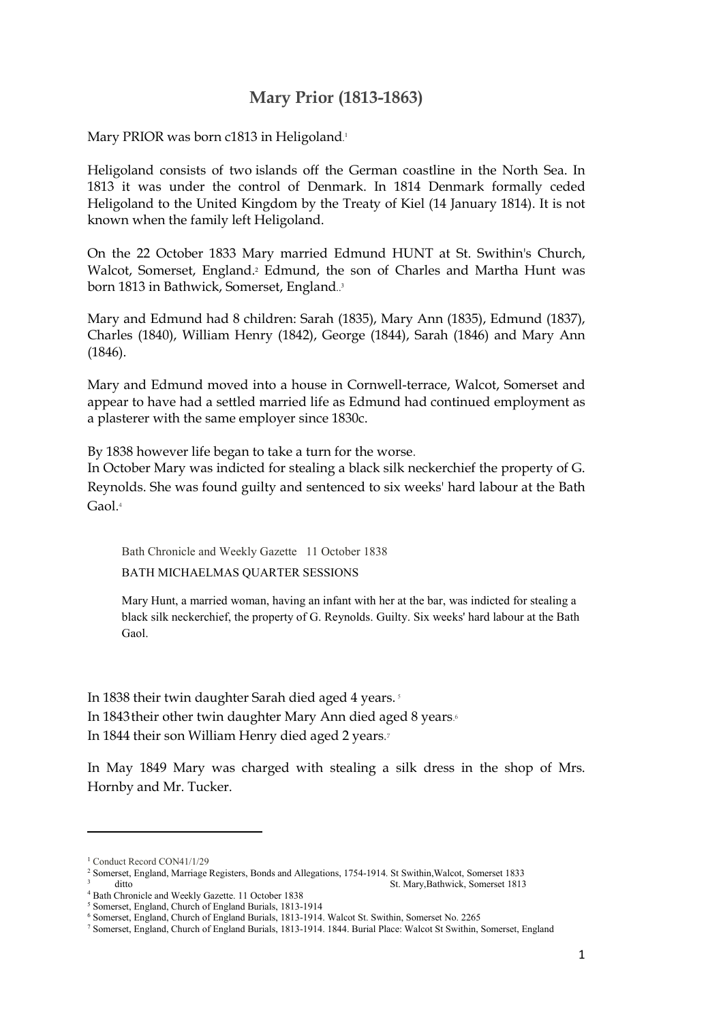## **Mary Prior (1813-1863)**

Mary PRIOR was born c1813 in Heligoland. 1

Heligoland consists of two islands off the German coastline in the North Sea. In 1813 it was under the control of Denmark. In 1814 Denmark formally ceded Heligoland to the United Kingdom by the Treaty of Kiel (14 January 1814). It is not known when the family left Heligoland.

On the 22 October 1833 Mary married Edmund HUNT at St. Swithin's Church, Walcot, Somerset, England.2 Edmund, the son of Charles and Martha Hunt was born 1813 in Bathwick, Somerset, England.. 3

Mary and Edmund had 8 children: Sarah (1835), Mary Ann (1835), Edmund (1837), Charles (1840), William Henry (1842), George (1844), Sarah (1846) and Mary Ann (1846).

Mary and Edmund moved into a house in Cornwell-terrace, Walcot, Somerset and appear to have had a settled married life as Edmund had continued employment as a plasterer with the same employer since 1830c.

By 1838 however life began to take a turn for the worse.

In October Mary was indicted for stealing a black silk neckerchief the property of G. Reynolds. She was found guilty and sentenced to six weeks' hard labour at the Bath Gaol. 4

Bath Chronicle and Weekly Gazette 11 October 1838

BATH MICHAELMAS QUARTER SESSIONS

Mary Hunt, a married woman, having an infant with her at the bar, was indicted for stealing a black silk neckerchief, the property of G. Reynolds. Guilty. Six weeks' hard labour at the Bath Gaol.

In 1838 their twin daughter Sarah died aged 4 years.<sup>5</sup> In 1843their other twin daughter Mary Ann died aged 8 years. 6 In 1844 their son William Henry died aged 2 years.7

In May 1849 Mary was charged with stealing a silk dress in the shop of Mrs. Hornby and Mr. Tucker.

1

<sup>&</sup>lt;sup>1</sup> Conduct Record CON41/1/29

<sup>2</sup> Somerset, England, Marriage Registers, Bonds and Allegations, 1754-1914. St Swithin,Walcot, Somerset 1833 3 ditto St. Mary,Bathwick, Somerset 1813

<sup>4</sup> Bath Chronicle and Weekly Gazette. 11 October 1838

<sup>5</sup> Somerset, England, Church of England Burials, 1813-1914

<sup>6</sup> Somerset, England, Church of England Burials, 1813-1914. Walcot St. Swithin, Somerset No. 2265

<sup>7</sup> Somerset, England, Church of England Burials, 1813-1914. 1844. Burial Place: Walcot St Swithin, Somerset, England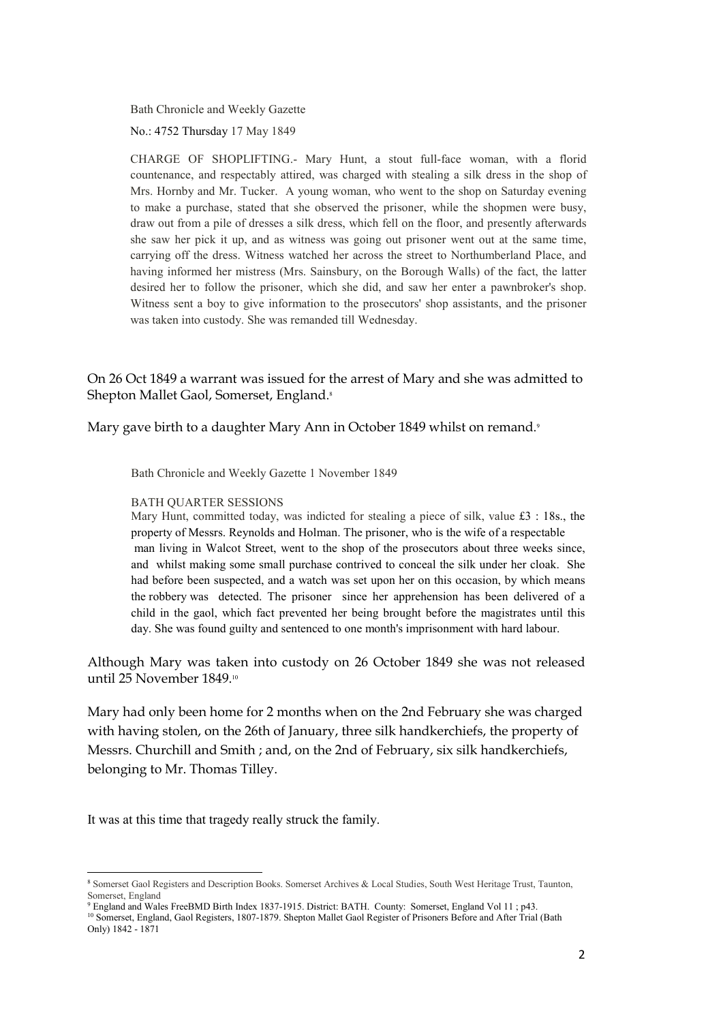Bath Chronicle and Weekly Gazette

No.: 4752 Thursday 17 May 1849

CHARGE OF SHOPLIFTING.- Mary Hunt, a stout full-face woman, with a florid countenance, and respectably attired, was charged with stealing a silk dress in the shop of Mrs. Hornby and Mr. Tucker. A young woman, who went to the shop on Saturday evening to make a purchase, stated that she observed the prisoner, while the shopmen were busy, draw out from a pile of dresses a silk dress, which fell on the floor, and presently afterwards she saw her pick it up, and as witness was going out prisoner went out at the same time, carrying off the dress. Witness watched her across the street to Northumberland Place, and having informed her mistress (Mrs. Sainsbury, on the Borough Walls) of the fact, the latter desired her to follow the prisoner, which she did, and saw her enter a pawnbroker's shop. Witness sent a boy to give information to the prosecutors' shop assistants, and the prisoner was taken into custody. She was remanded till Wednesday.

On 26 Oct 1849 a warrant was issued for the arrest of Mary and she was admitted to Shepton Mallet Gaol, Somerset, England. 8

Mary gave birth to a daughter Mary Ann in October 1849 whilst on remand. 9

Bath Chronicle and Weekly Gazette 1 November 1849

## BATH QUARTER SESSIONS

Mary Hunt, committed today, was indicted for stealing a piece of silk, value £3 : 18s., the property of Messrs. Reynolds and Holman. The prisoner, who is the wife of a respectable man living in Walcot Street, went to the shop of the prosecutors about three weeks since, and whilst making some small purchase contrived to conceal the silk under her cloak. She had before been suspected, and a watch was set upon her on this occasion, by which means the robbery was detected. The prisoner since her apprehension has been delivered of a child in the gaol, which fact prevented her being brought before the magistrates until this day. She was found guilty and sentenced to one month's imprisonment with hard labour.

Although Mary was taken into custody on 26 October 1849 she was not released until 25 November 1849.<sup>10</sup>

Mary had only been home for 2 months when on the 2nd February she was charged with having stolen, on the 26th of January, three silk handkerchiefs, the property of Messrs. Churchill and Smith ; and, on the 2nd of February, six silk handkerchiefs, belonging to Mr. Thomas Tilley.

It was at this time that tragedy really struck the family.

**<sup>.</sup>** <sup>8</sup> Somerset Gaol Registers and Description Books. Somerset Archives & Local Studies, South West Heritage Trust, Taunton, Somerset, England

<sup>9</sup> England and Wales FreeBMD Birth Index 1837-1915. District: BATH. County: Somerset, England Vol 11 ; p43.

<sup>&</sup>lt;sup>10</sup> Somerset, England, Gaol Registers, 1807-1879. Shepton Mallet Gaol Register of Prisoners Before and After Trial (Bath Only) 1842 - 1871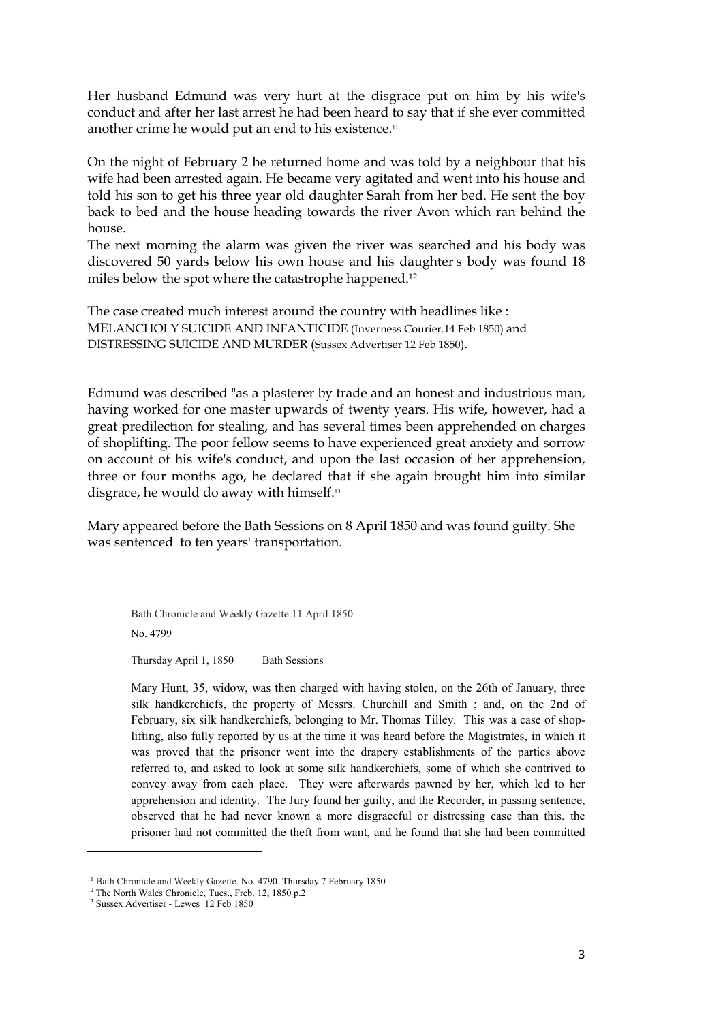Her husband Edmund was very hurt at the disgrace put on him by his wife's conduct and after her last arrest he had been heard to say that if she ever committed another crime he would put an end to his existence.<sup>11</sup>

On the night of February 2 he returned home and was told by a neighbour that his wife had been arrested again. He became very agitated and went into his house and told his son to get his three year old daughter Sarah from her bed. He sent the boy back to bed and the house heading towards the river Avon which ran behind the house.

The next morning the alarm was given the river was searched and his body was discovered 50 yards below his own house and his daughter's body was found 18 miles below the spot where the catastrophe happened.12

The case created much interest around the country with headlines like : MELANCHOLY SUICIDE AND INFANTICIDE (Inverness Courier.14 Feb 1850) and DISTRESSING SUICIDE AND MURDER (Sussex Advertiser 12 Feb 1850).

Edmund was described "as a plasterer by trade and an honest and industrious man, having worked for one master upwards of twenty years. His wife, however, had a great predilection for stealing, and has several times been apprehended on charges of shoplifting. The poor fellow seems to have experienced great anxiety and sorrow on account of his wife's conduct, and upon the last occasion of her apprehension, three or four months ago, he declared that if she again brought him into similar disgrace, he would do away with himself.<sup>13</sup>

Mary appeared before the Bath Sessions on 8 April 1850 and was found guilty. She was sentenced to ten years' transportation.

Bath Chronicle and Weekly Gazette 11 April 1850 No. 4799

Thursday April 1, 1850 Bath Sessions

Mary Hunt, 35, widow, was then charged with having stolen, on the 26th of January, three silk handkerchiefs, the property of Messrs. Churchill and Smith ; and, on the 2nd of February, six silk handkerchiefs, belonging to Mr. Thomas Tilley. This was a case of shoplifting, also fully reported by us at the time it was heard before the Magistrates, in which it was proved that the prisoner went into the drapery establishments of the parties above referred to, and asked to look at some silk handkerchiefs, some of which she contrived to convey away from each place. They were afterwards pawned by her, which led to her apprehension and identity. The Jury found her guilty, and the Recorder, in passing sentence, observed that he had never known a more disgraceful or distressing case than this. the prisoner had not committed the theft from want, and he found that she had been committed

 $\overline{a}$ 

<sup>&</sup>lt;sup>11</sup> Bath Chronicle and Weekly Gazette. No. 4790. Thursday 7 February 1850

<sup>&</sup>lt;sup>12</sup> The North Wales Chronicle, Tues., Freb. 12, 1850 p.2

<sup>&</sup>lt;sup>13</sup> Sussex Advertiser - Lewes 12 Feb 1850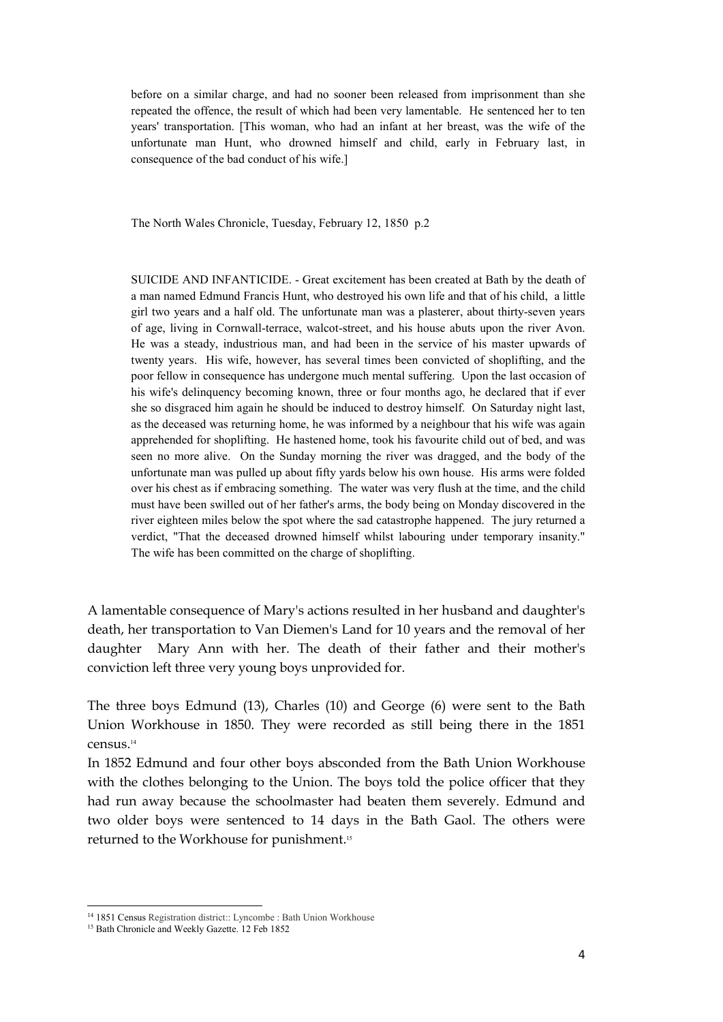before on a similar charge, and had no sooner been released from imprisonment than she repeated the offence, the result of which had been very lamentable. He sentenced her to ten years' transportation. [This woman, who had an infant at her breast, was the wife of the unfortunate man Hunt, who drowned himself and child, early in February last, in consequence of the bad conduct of his wife.]

The North Wales Chronicle, Tuesday, February 12, 1850 p.2

SUICIDE AND INFANTICIDE. - Great excitement has been created at Bath by the death of a man named Edmund Francis Hunt, who destroyed his own life and that of his child, a little girl two years and a half old. The unfortunate man was a plasterer, about thirty-seven years of age, living in Cornwall-terrace, walcot-street, and his house abuts upon the river Avon. He was a steady, industrious man, and had been in the service of his master upwards of twenty years. His wife, however, has several times been convicted of shoplifting, and the poor fellow in consequence has undergone much mental suffering. Upon the last occasion of his wife's delinquency becoming known, three or four months ago, he declared that if ever she so disgraced him again he should be induced to destroy himself. On Saturday night last, as the deceased was returning home, he was informed by a neighbour that his wife was again apprehended for shoplifting. He hastened home, took his favourite child out of bed, and was seen no more alive. On the Sunday morning the river was dragged, and the body of the unfortunate man was pulled up about fifty yards below his own house. His arms were folded over his chest as if embracing something. The water was very flush at the time, and the child must have been swilled out of her father's arms, the body being on Monday discovered in the river eighteen miles below the spot where the sad catastrophe happened. The jury returned a verdict, "That the deceased drowned himself whilst labouring under temporary insanity." The wife has been committed on the charge of shoplifting.

A lamentable consequence of Mary's actions resulted in her husband and daughter's death, her transportation to Van Diemen's Land for 10 years and the removal of her daughter Mary Ann with her. The death of their father and their mother's conviction left three very young boys unprovided for.

The three boys Edmund (13), Charles (10) and George (6) were sent to the Bath Union Workhouse in 1850. They were recorded as still being there in the 1851 census.<sup>14</sup>

In 1852 Edmund and four other boys absconded from the Bath Union Workhouse with the clothes belonging to the Union. The boys told the police officer that they had run away because the schoolmaster had beaten them severely. Edmund and two older boys were sentenced to 14 days in the Bath Gaol. The others were returned to the Workhouse for punishment. 15

 $\overline{a}$ 

<sup>&</sup>lt;sup>14</sup> 1851 Census Registration district:: Lyncombe : Bath Union Workhouse

<sup>&</sup>lt;sup>15</sup> Bath Chronicle and Weekly Gazette. 12 Feb 1852